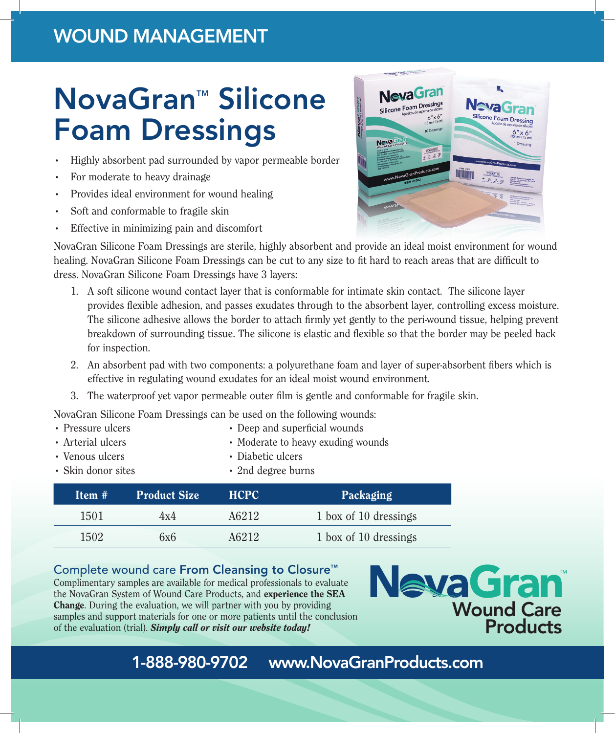## WOUND MANAGEMENT

# NovaGran™ Silicone Foam Dressings

- Highly absorbent pad surrounded by vapor permeable border
- For moderate to heavy drainage
- Provides ideal environment for wound healing
- Soft and conformable to fragile skin
- Effective in minimizing pain and discomfort

NovaGran Silicone Foam Dressings are sterile, highly absorbent and provide an ideal moist environment for wound healing. NovaGran Silicone Foam Dressings can be cut to any size to fit hard to reach areas that are difficult to dress. NovaGran Silicone Foam Dressings have 3 layers:

- 1. A soft silicone wound contact layer that is conformable for intimate skin contact. The silicone layer provides flexible adhesion, and passes exudates through to the absorbent layer, controlling excess moisture. The silicone adhesive allows the border to attach firmly yet gently to the peri-wound tissue, helping prevent breakdown of surrounding tissue. The silicone is elastic and flexible so that the border may be peeled back for inspection.
- 2. An absorbent pad with two components: a polyurethane foam and layer of super-absorbent fibers which is effective in regulating wound exudates for an ideal moist wound environment.
- 3. The waterproof yet vapor permeable outer film is gentle and conformable for fragile skin.

NovaGran Silicone Foam Dressings can be used on the following wounds:

- Pressure ulcers Deep and superficial wounds
- Arterial ulcers Moderate to heavy exuding wounds
	-
- Venous ulcers Diabetic ulcers

| • Skin donor sites | • 2nd degree burns |  |
|--------------------|--------------------|--|
|                    |                    |  |

| $Hem \#1$ | <b>Product Size</b> | <b>HCPC</b> | Packaging             |
|-----------|---------------------|-------------|-----------------------|
| 1501      | 4x4                 | A6212       | 1 box of 10 dressings |
| 1502      | 6x6                 | A6212       | 1 box of 10 dressings |

### Complete wound care From Cleansing to Closure™

Complimentary samples are available for medical professionals to evaluate the NovaGran System of Wound Care Products, and experience the SEA Change. During the evaluation, we will partner with you by providing samples and support materials for one or more patients until the conclusion of the evaluation (trial). *Simply call or visit our website today!*



## 1-888-980-9702 www.NovaGranProducts.com